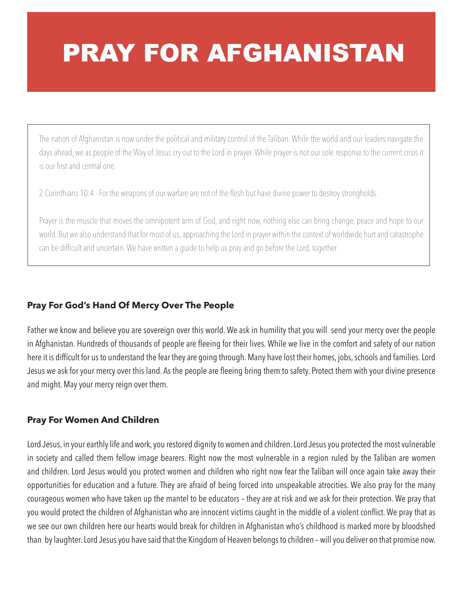# **PRAY FOR AFGHANISTAN**

The nation of Afghanistan is now under the political and military control of the Taliban. While the world and our leaders navigate the days ahead, we as people of the Way of Jesus cry out to the Lord in prayer. While prayer is not our sole response to the current crisis it is our first and central one.

2 Corinthians 10:4 - For the weapons of our warfare are not of the flesh but have divine power to destroy strongholds.

Prayer is the muscle that moves the omnipotent arm of God, and right now, nothing else can bring change, peace and hope to our world. But we also understand that for most of us, approaching the Lord in prayer within the context of worldwide hurt and catastrophe can be difficult and uncertain. We have written a guide to help us pray and go before the Lord, together.

## **Pray For God's Hand Of Mercy Over The People**

Father we know and believe you are sovereign over this world. We ask in humility that you will send your mercy over the people in Afghanistan. Hundreds of thousands of people are fleeing for their lives. While we live in the comfort and safety of our nation here it is difficult for us to understand the fear they are going through. Many have lost their homes, jobs, schools and families. Lord Jesus we ask for your mercy over this land. As the people are fleeing bring them to safety. Protect them with your divine presence and might. May your mercy reign over them.

#### **Pray For Women And Children**

Lord Jesus, in your earthly life and work, you restored dignity to women and children. Lord Jesus you protected the most vulnerable in society and called them fellow image bearers. Right now the most vulnerable in a region ruled by the Taliban are women and children. Lord Jesus would you protect women and children who right now fear the Taliban will once again take away their opportunities for education and a future. They are afraid of being forced into unspeakable atrocities. We also pray for the many courageous women who have taken up the mantel to be educators – they are at risk and we ask for their protection. We pray that you would protect the children of Afghanistan who are innocent victims caught in the middle of a violent conflict. We pray that as we see our own children here our hearts would break for children in Afghanistan who's childhood is marked more by bloodshed than by laughter. Lord Jesus you have said that the Kingdom of Heaven belongs to children – will you deliver on that promise now.